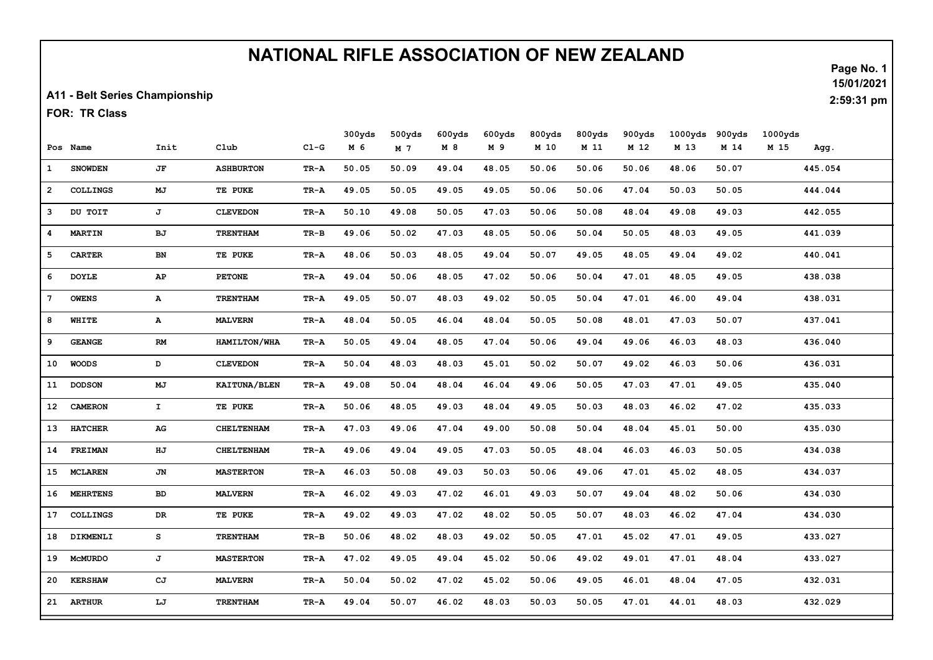## NATIONAL RIFLE ASSOCIATION OF NEW ZEALAND

A11 - Belt Series Championship

FOR: TR Class

|              |                 |               |                     |        | 300yds | 500yds         | 600yds | 600yds | 800yds | 800yds | 900yds | 1000yds | 900yds | 1000yds |         |  |
|--------------|-----------------|---------------|---------------------|--------|--------|----------------|--------|--------|--------|--------|--------|---------|--------|---------|---------|--|
|              | Pos Name        | Init          | Club                | $C1-G$ | M 6    | M <sub>7</sub> | M 8    | M 9    | M 10   | M 11   | M 12   | M 13    | M 14   | M 15    | Agg.    |  |
| $\mathbf{1}$ | <b>SNOWDEN</b>  | JF            | <b>ASHBURTON</b>    | TR-A   | 50.05  | 50.09          | 49.04  | 48.05  | 50.06  | 50.06  | 50.06  | 48.06   | 50.07  |         | 445.054 |  |
| $\mathbf{2}$ | <b>COLLINGS</b> | MJ            | TE PUKE             | TR-A   | 49.05  | 50.05          | 49.05  | 49.05  | 50.06  | 50.06  | 47.04  | 50.03   | 50.05  |         | 444.044 |  |
| 3            | DU TOIT         | J             | <b>CLEVEDON</b>     | TR-A   | 50.10  | 49.08          | 50.05  | 47.03  | 50.06  | 50.08  | 48.04  | 49.08   | 49.03  |         | 442.055 |  |
| 4            | <b>MARTIN</b>   | BJ            | <b>TRENTHAM</b>     | TR-B   | 49.06  | 50.02          | 47.03  | 48.05  | 50.06  | 50.04  | 50.05  | 48.03   | 49.05  |         | 441.039 |  |
| 5            | <b>CARTER</b>   | BN            | TE PUKE             | TR-A   | 48.06  | 50.03          | 48.05  | 49.04  | 50.07  | 49.05  | 48.05  | 49.04   | 49.02  |         | 440.041 |  |
| 6            | <b>DOYLE</b>    | AP            | <b>PETONE</b>       | TR-A   | 49.04  | 50.06          | 48.05  | 47.02  | 50.06  | 50.04  | 47.01  | 48.05   | 49.05  |         | 438.038 |  |
| 7            | <b>OWENS</b>    | $\mathbf{A}$  | <b>TRENTHAM</b>     | TR-A   | 49.05  | 50.07          | 48.03  | 49.02  | 50.05  | 50.04  | 47.01  | 46.00   | 49.04  |         | 438.031 |  |
| 8            | WHITE           | ${\bf A}$     | <b>MALVERN</b>      | TR-A   | 48.04  | 50.05          | 46.04  | 48.04  | 50.05  | 50.08  | 48.01  | 47.03   | 50.07  |         | 437.041 |  |
| 9            | <b>GEANGE</b>   | $\mathbf{RM}$ | HAMILTON/WHA        | TR-A   | 50.05  | 49.04          | 48.05  | 47.04  | 50.06  | 49.04  | 49.06  | 46.03   | 48.03  |         | 436.040 |  |
| 10           | <b>WOODS</b>    | D             | <b>CLEVEDON</b>     | TR-A   | 50.04  | 48.03          | 48.03  | 45.01  | 50.02  | 50.07  | 49.02  | 46.03   | 50.06  |         | 436.031 |  |
| 11           | <b>DODSON</b>   | MJ            | <b>KAITUNA/BLEN</b> | TR-A   | 49.08  | 50.04          | 48.04  | 46.04  | 49.06  | 50.05  | 47.03  | 47.01   | 49.05  |         | 435.040 |  |
| 12           | <b>CAMERON</b>  | $\mathbf{I}$  | TE PUKE             | TR-A   | 50.06  | 48.05          | 49.03  | 48.04  | 49.05  | 50.03  | 48.03  | 46.02   | 47.02  |         | 435.033 |  |
| 13           | <b>HATCHER</b>  | AG            | <b>CHELTENHAM</b>   | TR-A   | 47.03  | 49.06          | 47.04  | 49.00  | 50.08  | 50.04  | 48.04  | 45.01   | 50.00  |         | 435.030 |  |
| 14           | <b>FREIMAN</b>  | ΗJ            | <b>CHELTENHAM</b>   | TR-A   | 49.06  | 49.04          | 49.05  | 47.03  | 50.05  | 48.04  | 46.03  | 46.03   | 50.05  |         | 434.038 |  |
| 15           | <b>MCLAREN</b>  | JN            | <b>MASTERTON</b>    | TR-A   | 46.03  | 50.08          | 49.03  | 50.03  | 50.06  | 49.06  | 47.01  | 45.02   | 48.05  |         | 434.037 |  |
| 16           | <b>MEHRTENS</b> | BD            | <b>MALVERN</b>      | TR-A   | 46.02  | 49.03          | 47.02  | 46.01  | 49.03  | 50.07  | 49.04  | 48.02   | 50.06  |         | 434.030 |  |
| 17           | <b>COLLINGS</b> | DR            | TE PUKE             | TR-A   | 49.02  | 49.03          | 47.02  | 48.02  | 50.05  | 50.07  | 48.03  | 46.02   | 47.04  |         | 434.030 |  |
| 18           | DIKMENLI        | s             | <b>TRENTHAM</b>     | TR-B   | 50.06  | 48.02          | 48.03  | 49.02  | 50.05  | 47.01  | 45.02  | 47.01   | 49.05  |         | 433.027 |  |
| 19           | <b>MCMURDO</b>  | J             | <b>MASTERTON</b>    | TR-A   | 47.02  | 49.05          | 49.04  | 45.02  | 50.06  | 49.02  | 49.01  | 47.01   | 48.04  |         | 433.027 |  |
| 20           | <b>KERSHAW</b>  | CJ            | <b>MALVERN</b>      | TR-A   | 50.04  | 50.02          | 47.02  | 45.02  | 50.06  | 49.05  | 46.01  | 48.04   | 47.05  |         | 432.031 |  |
|              | 21 ARTHUR       | LJ            | <b>TRENTHAM</b>     | TR-A   | 49.04  | 50.07          | 46.02  | 48.03  | 50.03  | 50.05  | 47.01  | 44.01   | 48.03  |         | 432.029 |  |

Page No. 1 15/01/2021

2:59:31 pm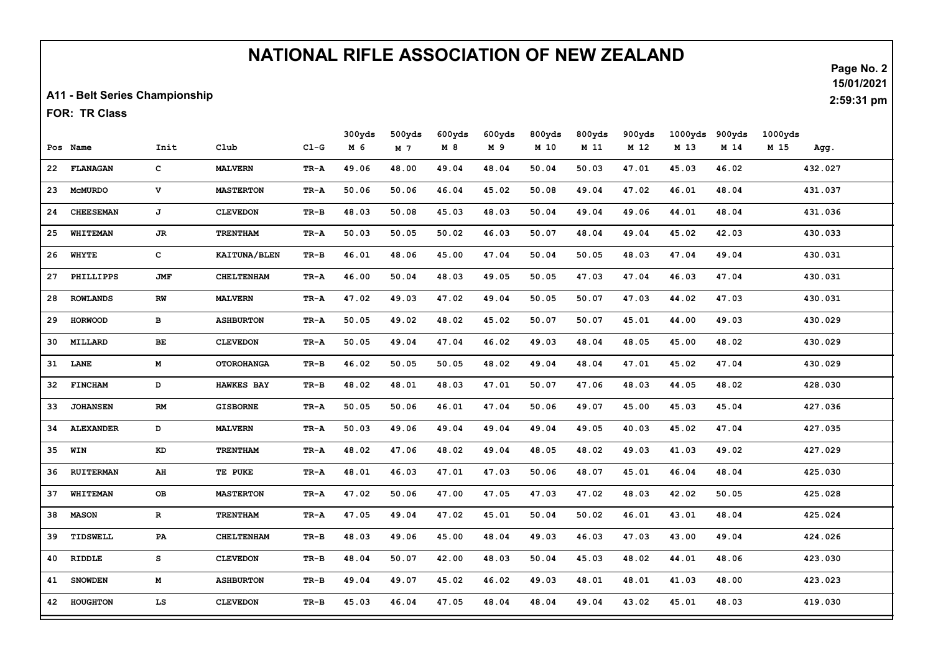## NATIONAL RIFLE ASSOCIATION OF NEW ZEALAND

A11 - Belt Series Championship

FOR: TR Class

|    |                  |             |                     |        | 300yds | 500yds | 600yds | 600yds | 800yds | 800yds | 900yds | 1000yds | 900yds | 1000yds |         |  |
|----|------------------|-------------|---------------------|--------|--------|--------|--------|--------|--------|--------|--------|---------|--------|---------|---------|--|
|    | Pos Name         | Init        | C1ub                | $C1-G$ | M 6    | M 7    | M 8    | M 9    | M 10   | M 11   | M 12   | M 13    | M 14   | M 15    | Agg.    |  |
| 22 | FLANAGAN         | c           | <b>MALVERN</b>      | TR-A   | 49.06  | 48.00  | 49.04  | 48.04  | 50.04  | 50.03  | 47.01  | 45.03   | 46.02  |         | 432.027 |  |
| 23 | <b>MCMURDO</b>   | v           | <b>MASTERTON</b>    | TR-A   | 50.06  | 50.06  | 46.04  | 45.02  | 50.08  | 49.04  | 47.02  | 46.01   | 48.04  |         | 431.037 |  |
| 24 | <b>CHEESEMAN</b> | J           | <b>CLEVEDON</b>     | TR-B   | 48.03  | 50.08  | 45.03  | 48.03  | 50.04  | 49.04  | 49.06  | 44.01   | 48.04  |         | 431.036 |  |
| 25 | <b>WHITEMAN</b>  | JR          | <b>TRENTHAM</b>     | TR-A   | 50.03  | 50.05  | 50.02  | 46.03  | 50.07  | 48.04  | 49.04  | 45.02   | 42.03  |         | 430.033 |  |
| 26 | <b>WHYTE</b>     | c           | <b>KAITUNA/BLEN</b> | TR-B   | 46.01  | 48.06  | 45.00  | 47.04  | 50.04  | 50.05  | 48.03  | 47.04   | 49.04  |         | 430.031 |  |
| 27 | PHILLIPPS        | <b>JMF</b>  | <b>CHELTENHAM</b>   | TR-A   | 46.00  | 50.04  | 48.03  | 49.05  | 50.05  | 47.03  | 47.04  | 46.03   | 47.04  |         | 430.031 |  |
| 28 | <b>ROWLANDS</b>  | RW          | <b>MALVERN</b>      | TR-A   | 47.02  | 49.03  | 47.02  | 49.04  | 50.05  | 50.07  | 47.03  | 44.02   | 47.03  |         | 430.031 |  |
| 29 | <b>HORWOOD</b>   | в           | <b>ASHBURTON</b>    | TR-A   | 50.05  | 49.02  | 48.02  | 45.02  | 50.07  | 50.07  | 45.01  | 44.00   | 49.03  |         | 430.029 |  |
| 30 | MILLARD          | BE          | <b>CLEVEDON</b>     | TR-A   | 50.05  | 49.04  | 47.04  | 46.02  | 49.03  | 48.04  | 48.05  | 45.00   | 48.02  |         | 430.029 |  |
| 31 | <b>LANE</b>      | M           | <b>OTOROHANGA</b>   | TR-B   | 46.02  | 50.05  | 50.05  | 48.02  | 49.04  | 48.04  | 47.01  | 45.02   | 47.04  |         | 430.029 |  |
| 32 | <b>FINCHAM</b>   | D           | <b>HAWKES BAY</b>   | $TR-B$ | 48.02  | 48.01  | 48.03  | 47.01  | 50.07  | 47.06  | 48.03  | 44.05   | 48.02  |         | 428.030 |  |
| 33 | <b>JOHANSEN</b>  | RM          | <b>GISBORNE</b>     | TR-A   | 50.05  | 50.06  | 46.01  | 47.04  | 50.06  | 49.07  | 45.00  | 45.03   | 45.04  |         | 427.036 |  |
| 34 | <b>ALEXANDER</b> | D           | <b>MALVERN</b>      | TR-A   | 50.03  | 49.06  | 49.04  | 49.04  | 49.04  | 49.05  | 40.03  | 45.02   | 47.04  |         | 427.035 |  |
| 35 | WIN              | KD          | <b>TRENTHAM</b>     | TR-A   | 48.02  | 47.06  | 48.02  | 49.04  | 48.05  | 48.02  | 49.03  | 41.03   | 49.02  |         | 427.029 |  |
| 36 | <b>RUITERMAN</b> | AH          | TE PUKE             | TR-A   | 48.01  | 46.03  | 47.01  | 47.03  | 50.06  | 48.07  | 45.01  | 46.04   | 48.04  |         | 425.030 |  |
| 37 | WHITEMAN         | OВ          | <b>MASTERTON</b>    | TR-A   | 47.02  | 50.06  | 47.00  | 47.05  | 47.03  | 47.02  | 48.03  | 42.02   | 50.05  |         | 425.028 |  |
| 38 | <b>MASON</b>     | $\mathbf R$ | <b>TRENTHAM</b>     | TR-A   | 47.05  | 49.04  | 47.02  | 45.01  | 50.04  | 50.02  | 46.01  | 43.01   | 48.04  |         | 425.024 |  |
| 39 | TIDSWELL         | PA          | <b>CHELTENHAM</b>   | TR-B   | 48.03  | 49.06  | 45.00  | 48.04  | 49.03  | 46.03  | 47.03  | 43.00   | 49.04  |         | 424.026 |  |
| 40 | RIDDLE           | s           | <b>CLEVEDON</b>     | $TR-B$ | 48.04  | 50.07  | 42.00  | 48.03  | 50.04  | 45.03  | 48.02  | 44.01   | 48.06  |         | 423.030 |  |
| 41 | <b>SNOWDEN</b>   | M           | <b>ASHBURTON</b>    | TR-B   | 49.04  | 49.07  | 45.02  | 46.02  | 49.03  | 48.01  | 48.01  | 41.03   | 48.00  |         | 423.023 |  |
| 42 | HOUGHTON         | LS          | <b>CLEVEDON</b>     | TR-B   | 45.03  | 46.04  | 47.05  | 48.04  | 48.04  | 49.04  | 43.02  | 45.01   | 48.03  |         | 419.030 |  |

Page No. 2 15/01/2021

2:59:31 pm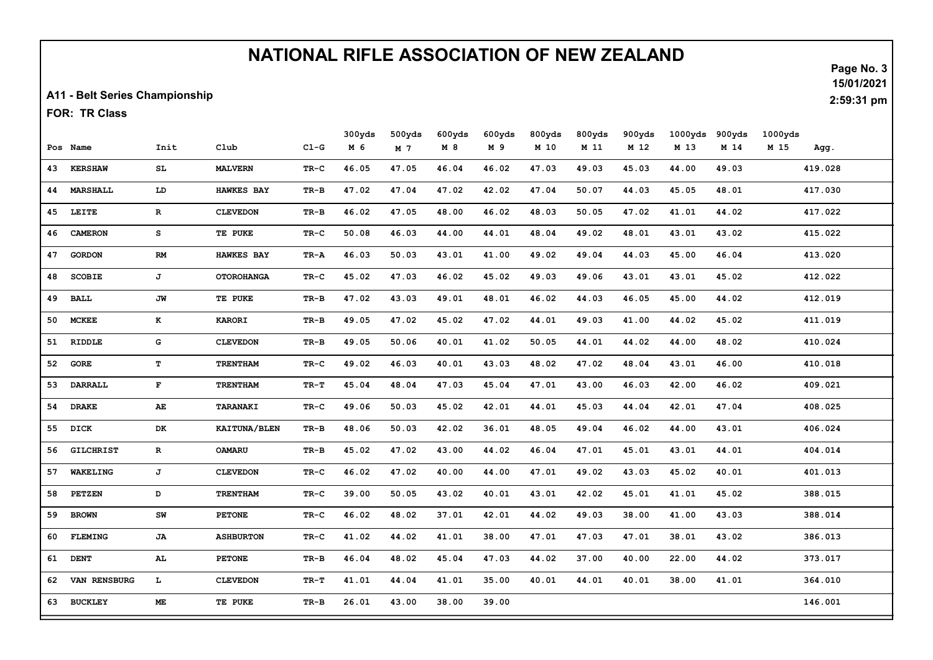## NATIONAL RIFLE ASSOCIATION OF NEW ZEALAND

A11 - Belt Series Championship

FOR: TR Class

|    |                  |              |                     |          | 300yds | 500yds | 600yds | 600yds | 800yds | 800yds | 900yds | 1000yds | 900yds | 1000yds |         |  |
|----|------------------|--------------|---------------------|----------|--------|--------|--------|--------|--------|--------|--------|---------|--------|---------|---------|--|
|    | Pos Name         | Init         | Club                | $CL-G$   | M 6    | M 7    | M 8    | M 9    | M 10   | M 11   | M 12   | M 13    | M 14   | M 15    | Agg.    |  |
| 43 | <b>KERSHAW</b>   | SL.          | <b>MALVERN</b>      | TR-C     | 46.05  | 47.05  | 46.04  | 46.02  | 47.03  | 49.03  | 45.03  | 44.00   | 49.03  |         | 419.028 |  |
| 44 | <b>MARSHALL</b>  | LD           | <b>HAWKES BAY</b>   | TR-B     | 47.02  | 47.04  | 47.02  | 42.02  | 47.04  | 50.07  | 44.03  | 45.05   | 48.01  |         | 417.030 |  |
| 45 | LEITE            | $\mathbf{R}$ | <b>CLEVEDON</b>     | TR-B     | 46.02  | 47.05  | 48.00  | 46.02  | 48.03  | 50.05  | 47.02  | 41.01   | 44.02  |         | 417.022 |  |
| 46 | <b>CAMERON</b>   | s            | TE PUKE             | TR-C     | 50.08  | 46.03  | 44.00  | 44.01  | 48.04  | 49.02  | 48.01  | 43.01   | 43.02  |         | 415.022 |  |
| 47 | <b>GORDON</b>    | RM           | <b>HAWKES BAY</b>   | TR-A     | 46.03  | 50.03  | 43.01  | 41.00  | 49.02  | 49.04  | 44.03  | 45.00   | 46.04  |         | 413.020 |  |
| 48 | <b>SCOBIE</b>    | J            | <b>OTOROHANGA</b>   | TR-C     | 45.02  | 47.03  | 46.02  | 45.02  | 49.03  | 49.06  | 43.01  | 43.01   | 45.02  |         | 412.022 |  |
| 49 | <b>BALL</b>      | JW           | TE PUKE             | TR-B     | 47.02  | 43.03  | 49.01  | 48.01  | 46.02  | 44.03  | 46.05  | 45.00   | 44.02  |         | 412.019 |  |
| 50 | <b>MCKEE</b>     | K            | <b>KARORI</b>       | TR-B     | 49.05  | 47.02  | 45.02  | 47.02  | 44.01  | 49.03  | 41.00  | 44.02   | 45.02  |         | 411.019 |  |
| 51 | RIDDLE           | G            | <b>CLEVEDON</b>     | $TR - B$ | 49.05  | 50.06  | 40.01  | 41.02  | 50.05  | 44.01  | 44.02  | 44.00   | 48.02  |         | 410.024 |  |
| 52 | <b>GORE</b>      | T            | <b>TRENTHAM</b>     | TR-C     | 49.02  | 46.03  | 40.01  | 43.03  | 48.02  | 47.02  | 48.04  | 43.01   | 46.00  |         | 410.018 |  |
| 53 | <b>DARRALL</b>   | $\mathbf{F}$ | <b>TRENTHAM</b>     | TR-T     | 45.04  | 48.04  | 47.03  | 45.04  | 47.01  | 43.00  | 46.03  | 42.00   | 46.02  |         | 409.021 |  |
| 54 | <b>DRAKE</b>     | AE           | TARANAKI            | TR-C     | 49.06  | 50.03  | 45.02  | 42.01  | 44.01  | 45.03  | 44.04  | 42.01   | 47.04  |         | 408.025 |  |
| 55 | DICK             | DK           | <b>KAITUNA/BLEN</b> | TR-B     | 48.06  | 50.03  | 42.02  | 36.01  | 48.05  | 49.04  | 46.02  | 44.00   | 43.01  |         | 406.024 |  |
| 56 | <b>GILCHRIST</b> | $\mathbf{R}$ | <b>OAMARU</b>       | TR-B     | 45.02  | 47.02  | 43.00  | 44.02  | 46.04  | 47.01  | 45.01  | 43.01   | 44.01  |         | 404.014 |  |
| 57 | <b>WAKELING</b>  | J            | <b>CLEVEDON</b>     | TR-C     | 46.02  | 47.02  | 40.00  | 44.00  | 47.01  | 49.02  | 43.03  | 45.02   | 40.01  |         | 401.013 |  |
| 58 | <b>PETZEN</b>    | D            | <b>TRENTHAM</b>     | TR-C     | 39.00  | 50.05  | 43.02  | 40.01  | 43.01  | 42.02  | 45.01  | 41.01   | 45.02  |         | 388.015 |  |
| 59 | <b>BROWN</b>     | ${\bf SW}$   | <b>PETONE</b>       | TR-C     | 46.02  | 48.02  | 37.01  | 42.01  | 44.02  | 49.03  | 38.00  | 41.00   | 43.03  |         | 388.014 |  |
| 60 | <b>FLEMING</b>   | JA           | <b>ASHBURTON</b>    | TR-C     | 41.02  | 44.02  | 41.01  | 38.00  | 47.01  | 47.03  | 47.01  | 38.01   | 43.02  |         | 386.013 |  |
| 61 | <b>DENT</b>      | AL.          | <b>PETONE</b>       | TR-B     | 46.04  | 48.02  | 45.04  | 47.03  | 44.02  | 37.00  | 40.00  | 22.00   | 44.02  |         | 373.017 |  |
| 62 | VAN RENSBURG     | Ъ.           | <b>CLEVEDON</b>     | TR-T     | 41.01  | 44.04  | 41.01  | 35.00  | 40.01  | 44.01  | 40.01  | 38.00   | 41.01  |         | 364.010 |  |
| 63 | <b>BUCKLEY</b>   | МE           | TE PUKE             | TR-B     | 26.01  | 43.00  | 38.00  | 39.00  |        |        |        |         |        |         | 146.001 |  |

Page No. 3 15/01/2021

2:59:31 pm